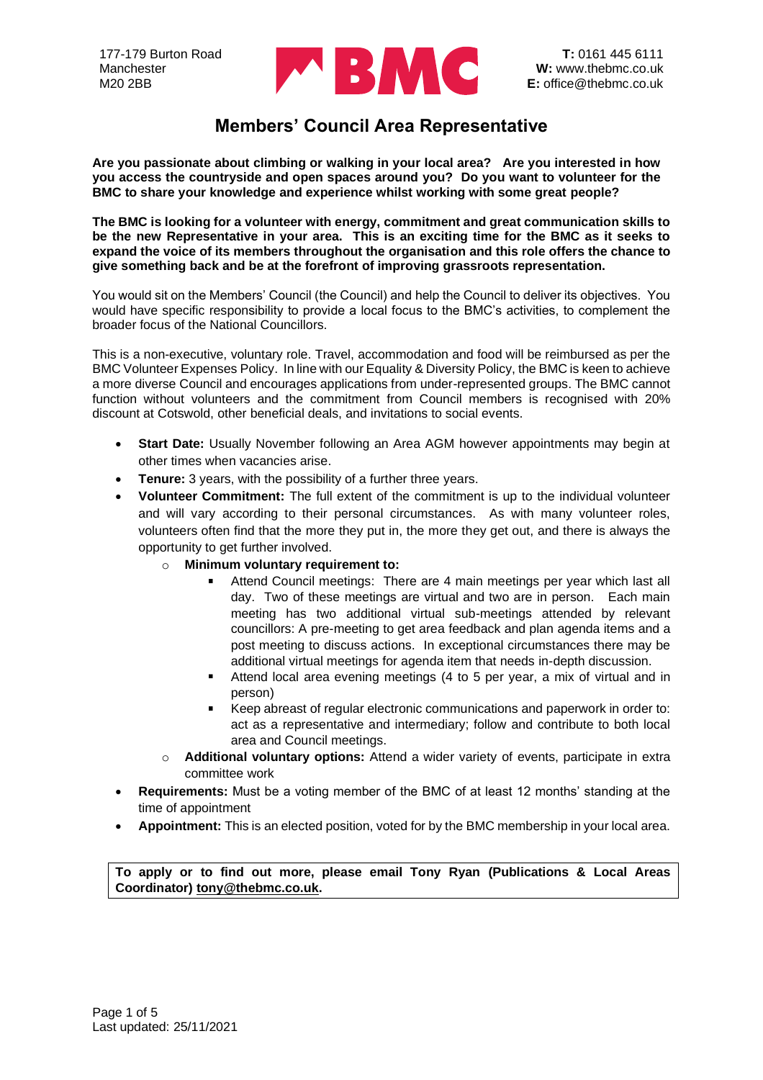

**Are you passionate about climbing or walking in your local area? Are you interested in how you access the countryside and open spaces around you? Do you want to volunteer for the BMC to share your knowledge and experience whilst working with some great people?** 

**The BMC is looking for a volunteer with energy, commitment and great communication skills to be the new Representative in your area. This is an exciting time for the BMC as it seeks to expand the voice of its members throughout the organisation and this role offers the chance to give something back and be at the forefront of improving grassroots representation.** 

You would sit on the Members' Council (the Council) and help the Council to deliver its objectives. You would have specific responsibility to provide a local focus to the BMC's activities, to complement the broader focus of the National Councillors.

This is a non-executive, voluntary role. Travel, accommodation and food will be reimbursed as per the BMC Volunteer Expenses Policy. In line with our Equality & Diversity Policy, the BMC is keen to achieve a more diverse Council and encourages applications from under-represented groups. The BMC cannot function without volunteers and the commitment from Council members is recognised with 20% discount at Cotswold, other beneficial deals, and invitations to social events.

- **Start Date:** Usually November following an Area AGM however appointments may begin at other times when vacancies arise.
- **Tenure:** 3 years, with the possibility of a further three years.
- **Volunteer Commitment:** The full extent of the commitment is up to the individual volunteer and will vary according to their personal circumstances. As with many volunteer roles, volunteers often find that the more they put in, the more they get out, and there is always the opportunity to get further involved.
	- o **Minimum voluntary requirement to:**
		- Attend Council meetings: There are 4 main meetings per year which last all day. Two of these meetings are virtual and two are in person. Each main meeting has two additional virtual sub-meetings attended by relevant councillors: A pre-meeting to get area feedback and plan agenda items and a post meeting to discuss actions. In exceptional circumstances there may be additional virtual meetings for agenda item that needs in-depth discussion.
		- Attend local area evening meetings (4 to 5 per year, a mix of virtual and in person)
		- Keep abreast of regular electronic communications and paperwork in order to: act as a representative and intermediary; follow and contribute to both local area and Council meetings.
	- o **Additional voluntary options:** Attend a wider variety of events, participate in extra committee work
- **Requirements:** Must be a voting member of the BMC of at least 12 months' standing at the time of appointment
- **Appointment:** This is an elected position, voted for by the BMC membership in your local area.

**To apply or to find out more, please email Tony Ryan (Publications & Local Areas Coordinator) [tony@thebmc.co.uk.](mailto:tony@thebmc.co.uk)**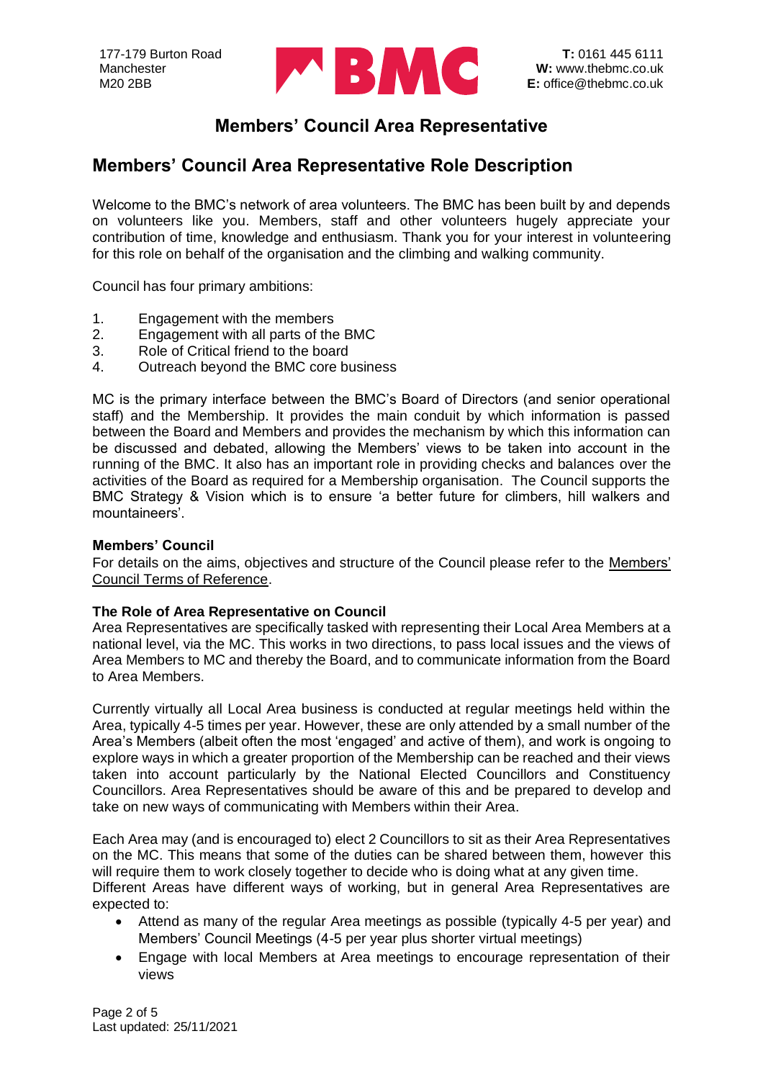

### **Members' Council Area Representative Role Description**

Welcome to the BMC's network of area volunteers. The BMC has been built by and depends on volunteers like you. Members, staff and other volunteers hugely appreciate your contribution of time, knowledge and enthusiasm. Thank you for your interest in volunteering for this role on behalf of the organisation and the climbing and walking community.

Council has four primary ambitions:

- 1. Engagement with the members
- 2. Engagement with all parts of the BMC
- 3. Role of Critical friend to the board
- 4. Outreach beyond the BMC core business

MC is the primary interface between the BMC's Board of Directors (and senior operational staff) and the Membership. It provides the main conduit by which information is passed between the Board and Members and provides the mechanism by which this information can be discussed and debated, allowing the Members' views to be taken into account in the running of the BMC. It also has an important role in providing checks and balances over the activities of the Board as required for a Membership organisation. The Council supports the BMC Strategy & Vision which is to ensure 'a better future for climbers, hill walkers and mountaineers'.

#### **Members' Council**

For details on the aims, objectives and structure of the Council please refer to the [Members'](https://www.thebmc.co.uk/Download.aspx?id=2004)  [Council Terms of Reference.](https://www.thebmc.co.uk/Download.aspx?id=2004)

#### **The Role of Area Representative on Council**

Area Representatives are specifically tasked with representing their Local Area Members at a national level, via the MC. This works in two directions, to pass local issues and the views of Area Members to MC and thereby the Board, and to communicate information from the Board to Area Members.

Currently virtually all Local Area business is conducted at regular meetings held within the Area, typically 4-5 times per year. However, these are only attended by a small number of the Area's Members (albeit often the most 'engaged' and active of them), and work is ongoing to explore ways in which a greater proportion of the Membership can be reached and their views taken into account particularly by the National Elected Councillors and Constituency Councillors. Area Representatives should be aware of this and be prepared to develop and take on new ways of communicating with Members within their Area.

Each Area may (and is encouraged to) elect 2 Councillors to sit as their Area Representatives on the MC. This means that some of the duties can be shared between them, however this will require them to work closely together to decide who is doing what at any given time. Different Areas have different ways of working, but in general Area Representatives are expected to:

- Attend as many of the regular Area meetings as possible (typically 4-5 per year) and Members' Council Meetings (4-5 per year plus shorter virtual meetings)
- Engage with local Members at Area meetings to encourage representation of their views

Page 2 of 5 Last updated: 25/11/2021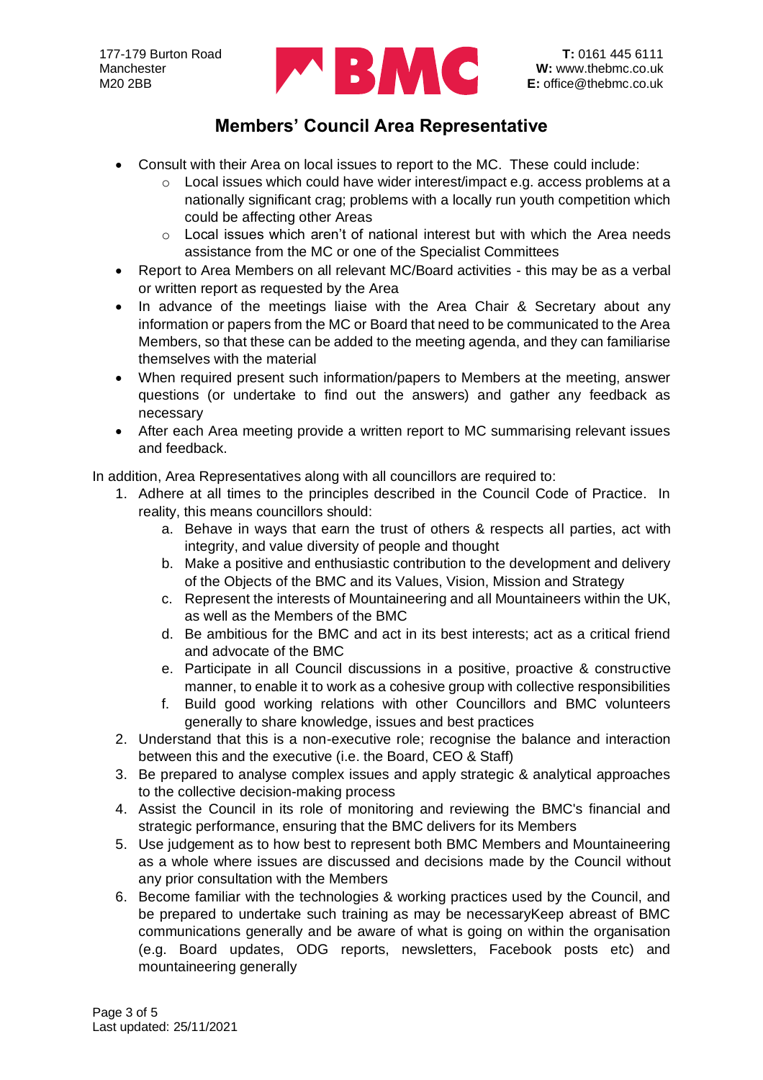

- Consult with their Area on local issues to report to the MC. These could include:
	- o Local issues which could have wider interest/impact e.g. access problems at a nationally significant crag; problems with a locally run youth competition which could be affecting other Areas
	- $\circ$  Local issues which aren't of national interest but with which the Area needs assistance from the MC or one of the Specialist Committees
- Report to Area Members on all relevant MC/Board activities this may be as a verbal or written report as requested by the Area
- In advance of the meetings liaise with the Area Chair & Secretary about any information or papers from the MC or Board that need to be communicated to the Area Members, so that these can be added to the meeting agenda, and they can familiarise themselves with the material
- When required present such information/papers to Members at the meeting, answer questions (or undertake to find out the answers) and gather any feedback as necessary
- After each Area meeting provide a written report to MC summarising relevant issues and feedback.

In addition, Area Representatives along with all councillors are required to:

- 1. Adhere at all times to the principles described in the Council Code of Practice. In reality, this means councillors should:
	- a. Behave in ways that earn the trust of others & respects all parties, act with integrity, and value diversity of people and thought
	- b. Make a positive and enthusiastic contribution to the development and delivery of the Objects of the BMC and its Values, Vision, Mission and Strategy
	- c. Represent the interests of Mountaineering and all Mountaineers within the UK, as well as the Members of the BMC
	- d. Be ambitious for the BMC and act in its best interests; act as a critical friend and advocate of the BMC
	- e. Participate in all Council discussions in a positive, proactive & constructive manner, to enable it to work as a cohesive group with collective responsibilities
	- f. Build good working relations with other Councillors and BMC volunteers generally to share knowledge, issues and best practices
- 2. Understand that this is a non-executive role; recognise the balance and interaction between this and the executive (i.e. the Board, CEO & Staff)
- 3. Be prepared to analyse complex issues and apply strategic & analytical approaches to the collective decision-making process
- 4. Assist the Council in its role of monitoring and reviewing the BMC's financial and strategic performance, ensuring that the BMC delivers for its Members
- 5. Use judgement as to how best to represent both BMC Members and Mountaineering as a whole where issues are discussed and decisions made by the Council without any prior consultation with the Members
- 6. Become familiar with the technologies & working practices used by the Council, and be prepared to undertake such training as may be necessaryKeep abreast of BMC communications generally and be aware of what is going on within the organisation (e.g. Board updates, ODG reports, newsletters, Facebook posts etc) and mountaineering generally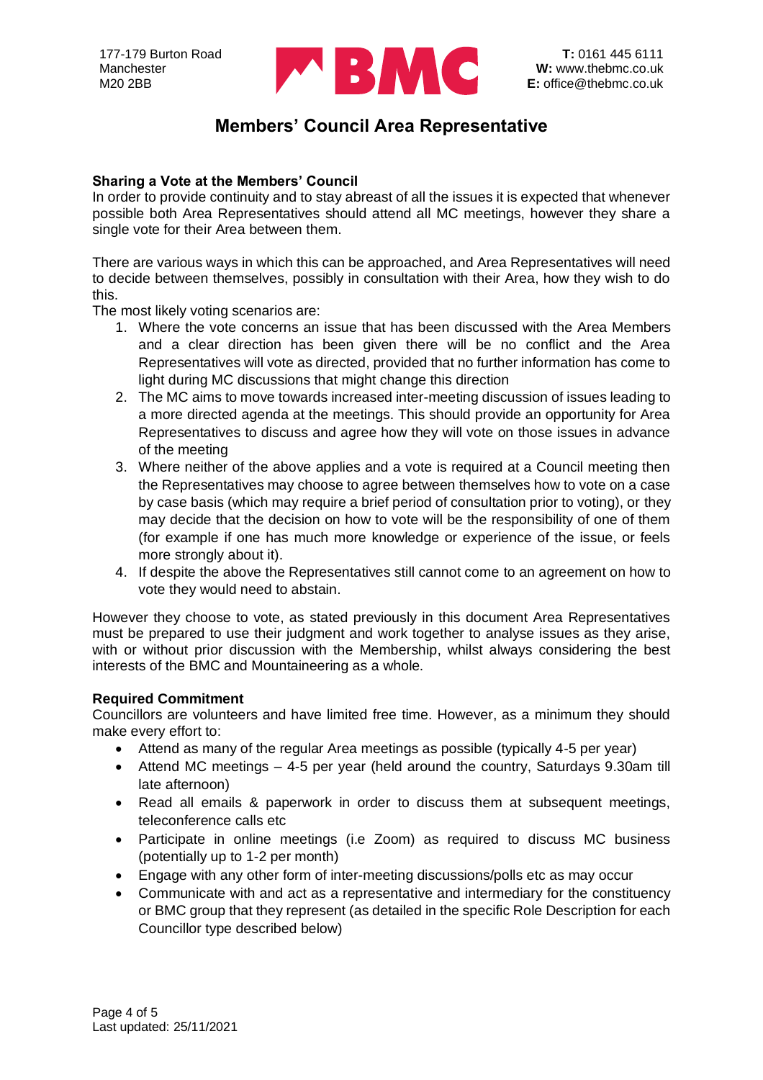

#### **Sharing a Vote at the Members' Council**

In order to provide continuity and to stay abreast of all the issues it is expected that whenever possible both Area Representatives should attend all MC meetings, however they share a single vote for their Area between them.

There are various ways in which this can be approached, and Area Representatives will need to decide between themselves, possibly in consultation with their Area, how they wish to do this.

The most likely voting scenarios are:

- 1. Where the vote concerns an issue that has been discussed with the Area Members and a clear direction has been given there will be no conflict and the Area Representatives will vote as directed, provided that no further information has come to light during MC discussions that might change this direction
- 2. The MC aims to move towards increased inter-meeting discussion of issues leading to a more directed agenda at the meetings. This should provide an opportunity for Area Representatives to discuss and agree how they will vote on those issues in advance of the meeting
- 3. Where neither of the above applies and a vote is required at a Council meeting then the Representatives may choose to agree between themselves how to vote on a case by case basis (which may require a brief period of consultation prior to voting), or they may decide that the decision on how to vote will be the responsibility of one of them (for example if one has much more knowledge or experience of the issue, or feels more strongly about it).
- 4. If despite the above the Representatives still cannot come to an agreement on how to vote they would need to abstain.

However they choose to vote, as stated previously in this document Area Representatives must be prepared to use their judgment and work together to analyse issues as they arise, with or without prior discussion with the Membership, whilst always considering the best interests of the BMC and Mountaineering as a whole.

#### **Required Commitment**

Councillors are volunteers and have limited free time. However, as a minimum they should make every effort to:

- Attend as many of the regular Area meetings as possible (typically 4-5 per year)
- Attend MC meetings 4-5 per year (held around the country, Saturdays 9.30am till late afternoon)
- Read all emails & paperwork in order to discuss them at subsequent meetings, teleconference calls etc
- Participate in online meetings (i.e Zoom) as required to discuss MC business (potentially up to 1-2 per month)
- Engage with any other form of inter-meeting discussions/polls etc as may occur
- Communicate with and act as a representative and intermediary for the constituency or BMC group that they represent (as detailed in the specific Role Description for each Councillor type described below)